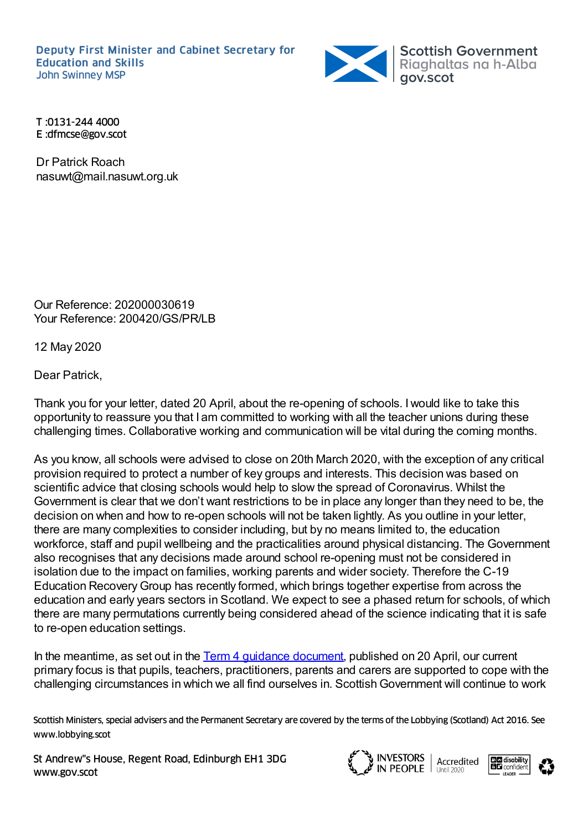Deputy First Minister and Cabinet Secretary for Education and Skills



T :0131-244 4000 E :dfmcse@gov.scot

Dr Patrick Roach nasuwt@mail.nasuwt.org.uk

Our Reference: 202000030619 Your Reference: 200420/GS/PR/LB

12 May 2020

Dear Patrick,

Thank you for your letter, dated 20 April, about the re-opening of schools. Iwould like to take this opportunity to reassure you that I am committed to working with all the teacher unions during these challenging times. Collaborative working and communication will be vital during the coming months.

As you know, all schools were advised to close on 20th March 2020, with the exception of any critical provision required to protect a number of key groups and interests. This decision was based on scientific advice that closing schools would help to slow the spread of Coronavirus. Whilst the Government is clear that we don't want restrictions to be in place any longer than they need to be, the decision on when and how to re-open schools will not be taken lightly. As you outline in your letter, there are many complexities to consider including, but by no means limited to, the education workforce, staff and pupil wellbeing and the practicalities around physical distancing. The Government also recognises that any decisions made around school re-opening must not be considered in isolation due to the impact on families, working parents and wider society. Therefore the C-19 Education RecoveryGroup has recently formed, which brings together expertise from across the education and early years sectors in Scotland. We expect to see a phased return for schools, of which there are many permutations currently being considered ahead of the science indicating that it is safe to re-open education settings.

In the meantime, as set out in the Term 4 guidance [document](https://www.gov.scot/publications/supporting-pupils-parents-teachers-learning-during-term-4/), published on 20 April, our current primary focus is that pupils, teachers, practitioners, parents and carers are supported to cope with the challenging circumstances in which we all find ourselves in. Scottish Government will continue to work

Scottish Ministers, special advisers and the Permanent Secretary are covered by the terms of the Lobbying (Scotland) Act 2016. See www.lobbying.scot

St Andrew"s House, Regent Road, Edinburgh EH1 3DG www.gov.scot